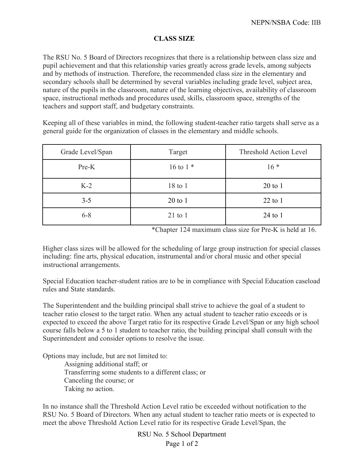## **CLASS SIZE**

The RSU No. 5 Board of Directors recognizes that there is a relationship between class size and pupil achievement and that this relationship varies greatly across grade levels, among subjects and by methods of instruction. Therefore, the recommended class size in the elementary and secondary schools shall be determined by several variables including grade level, subject area, nature of the pupils in the classroom, nature of the learning objectives, availability of classroom space, instructional methods and procedures used, skills, classroom space, strengths of the teachers and support staff, and budgetary constraints.

Keeping all of these variables in mind, the following student-teacher ratio targets shall serve as a general guide for the organization of classes in the elementary and middle schools.

| Grade Level/Span | Target      | Threshold Action Level |
|------------------|-------------|------------------------|
| Pre-K            | 16 to 1 $*$ | $16*$                  |
| $K-2$            | 18 to 1     | $20$ to $1$            |
| $3 - 5$          | $20$ to 1   | $22$ to 1              |
| $6 - 8$          | $21$ to 1   | $24$ to 1              |

\*Chapter 124 maximum class size for Pre-K is held at 16.

Higher class sizes will be allowed for the scheduling of large group instruction for special classes including: fine arts, physical education, instrumental and/or choral music and other special instructional arrangements.

Special Education teacher-student ratios are to be in compliance with Special Education caseload rules and State standards.

The Superintendent and the building principal shall strive to achieve the goal of a student to teacher ratio closest to the target ratio. When any actual student to teacher ratio exceeds or is expected to exceed the above Target ratio for its respective Grade Level/Span or any high school course falls below a 5 to 1 student to teacher ratio, the building principal shall consult with the Superintendent and consider options to resolve the issue.

Options may include, but are not limited to: Assigning additional staff; or Transferring some students to a different class; or Canceling the course; or Taking no action.

In no instance shall the Threshold Action Level ratio be exceeded without notification to the RSU No. 5 Board of Directors. When any actual student to teacher ratio meets or is expected to meet the above Threshold Action Level ratio for its respective Grade Level/Span, the

> RSU No. 5 School Department Page 1 of 2